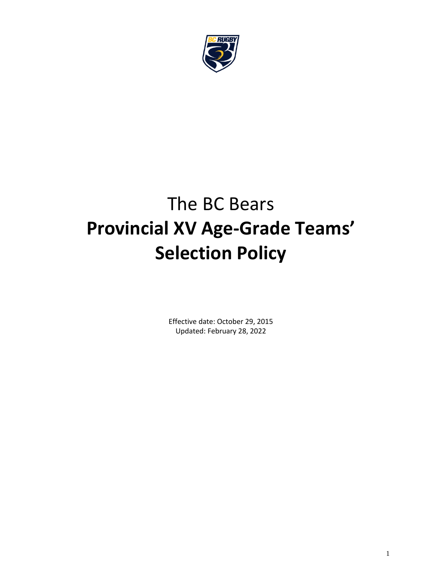

# The BC Bears **Provincial XV Age-Grade Teams' Selection Policy**

Effective date: October 29, 2015 Updated: February 28, 2022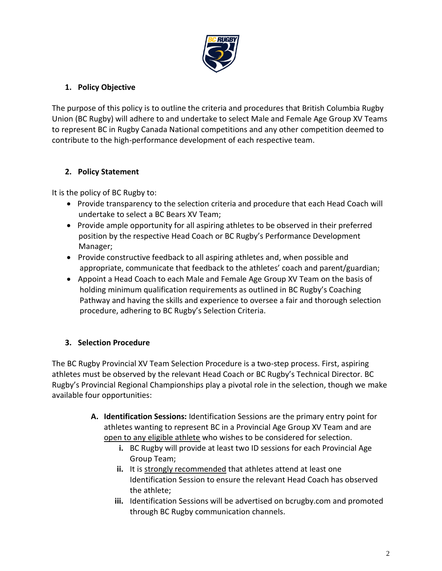

## **1. Policy Objective**

The purpose of this policy is to outline the criteria and procedures that British Columbia Rugby Union (BC Rugby) will adhere to and undertake to select Male and Female Age Group XV Teams to represent BC in Rugby Canada National competitions and any other competition deemed to contribute to the high-performance development of each respective team.

## **2. Policy Statement**

It is the policy of BC Rugby to:

- Provide transparency to the selection criteria and procedure that each Head Coach will undertake to select a BC Bears XV Team;
- Provide ample opportunity for all aspiring athletes to be observed in their preferred position by the respective Head Coach or BC Rugby's Performance Development Manager;
- Provide constructive feedback to all aspiring athletes and, when possible and appropriate, communicate that feedback to the athletes' coach and parent/guardian;
- Appoint a Head Coach to each Male and Female Age Group XV Team on the basis of holding minimum qualification requirements as outlined in BC Rugby's Coaching Pathway and having the skills and experience to oversee a fair and thorough selection procedure, adhering to BC Rugby's Selection Criteria.

## **3. Selection Procedure**

The BC Rugby Provincial XV Team Selection Procedure is a two-step process. First, aspiring athletes must be observed by the relevant Head Coach or BC Rugby's Technical Director. BC Rugby's Provincial Regional Championships play a pivotal role in the selection, though we make available four opportunities:

- **A. Identification Sessions:** Identification Sessions are the primary entry point for athletes wanting to represent BC in a Provincial Age Group XV Team and are open to any eligible athlete who wishes to be considered for selection.
	- **i.** BC Rugby will provide at least two ID sessions for each Provincial Age Group Team;
	- **ii.** It is strongly recommended that athletes attend at least one Identification Session to ensure the relevant Head Coach has observed the athlete;
	- **iii.** Identification Sessions will be advertised on bcrugby.com and promoted through BC Rugby communication channels.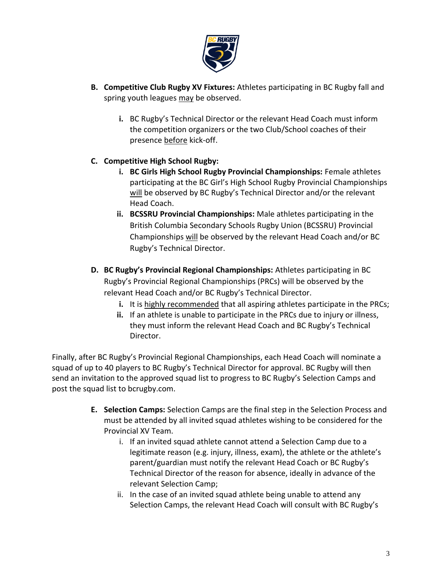

- **B. Competitive Club Rugby XV Fixtures:** Athletes participating in BC Rugby fall and spring youth leagues may be observed.
	- **i.** BC Rugby's Technical Director or the relevant Head Coach must inform the competition organizers or the two Club/School coaches of their presence before kick-off.

## **C. Competitive High School Rugby:**

- **i. BC Girls High School Rugby Provincial Championships:** Female athletes participating at the BC Girl's High School Rugby Provincial Championships will be observed by BC Rugby's Technical Director and/or the relevant Head Coach.
- **ii. BCSSRU Provincial Championships:** Male athletes participating in the British Columbia Secondary Schools Rugby Union (BCSSRU) Provincial Championships will be observed by the relevant Head Coach and/or BC Rugby's Technical Director.
- **D. BC Rugby's Provincial Regional Championships:** Athletes participating in BC Rugby's Provincial Regional Championships (PRCs) will be observed by the relevant Head Coach and/or BC Rugby's Technical Director.
	- **i.** It is highly recommended that all aspiring athletes participate in the PRCs;
	- **ii.** If an athlete is unable to participate in the PRCs due to injury or illness, they must inform the relevant Head Coach and BC Rugby's Technical Director.

Finally, after BC Rugby's Provincial Regional Championships, each Head Coach will nominate a squad of up to 40 players to BC Rugby's Technical Director for approval. BC Rugby will then send an invitation to the approved squad list to progress to BC Rugby's Selection Camps and post the squad list to bcrugby.com.

- **E. Selection Camps:** Selection Camps are the final step in the Selection Process and must be attended by all invited squad athletes wishing to be considered for the Provincial XV Team.
	- i. If an invited squad athlete cannot attend a Selection Camp due to a legitimate reason (e.g. injury, illness, exam), the athlete or the athlete's parent/guardian must notify the relevant Head Coach or BC Rugby's Technical Director of the reason for absence, ideally in advance of the relevant Selection Camp;
	- ii. In the case of an invited squad athlete being unable to attend any Selection Camps, the relevant Head Coach will consult with BC Rugby's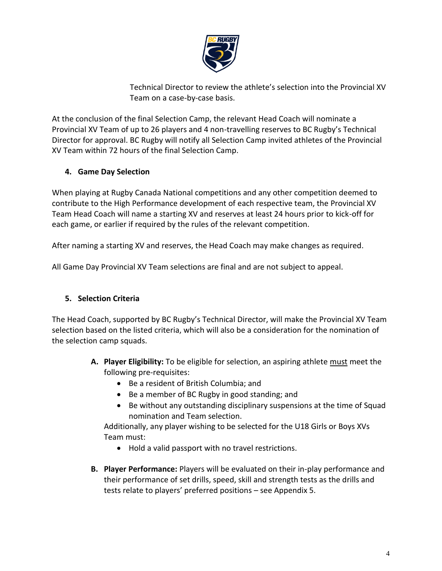

Technical Director to review the athlete's selection into the Provincial XV Team on a case-by-case basis.

At the conclusion of the final Selection Camp, the relevant Head Coach will nominate a Provincial XV Team of up to 26 players and 4 non-travelling reserves to BC Rugby's Technical Director for approval. BC Rugby will notify all Selection Camp invited athletes of the Provincial XV Team within 72 hours of the final Selection Camp.

## **4. Game Day Selection**

When playing at Rugby Canada National competitions and any other competition deemed to contribute to the High Performance development of each respective team, the Provincial XV Team Head Coach will name a starting XV and reserves at least 24 hours prior to kick-off for each game, or earlier if required by the rules of the relevant competition.

After naming a starting XV and reserves, the Head Coach may make changes as required.

All Game Day Provincial XV Team selections are final and are not subject to appeal.

#### **5. Selection Criteria**

The Head Coach, supported by BC Rugby's Technical Director, will make the Provincial XV Team selection based on the listed criteria, which will also be a consideration for the nomination of the selection camp squads.

- **A. Player Eligibility:** To be eligible for selection, an aspiring athlete must meet the following pre-requisites:
	- Be a resident of British Columbia; and
	- Be a member of BC Rugby in good standing; and
	- Be without any outstanding disciplinary suspensions at the time of Squad nomination and Team selection.

Additionally, any player wishing to be selected for the U18 Girls or Boys XVs Team must:

- Hold a valid passport with no travel restrictions.
- **B. Player Performance:** Players will be evaluated on their in-play performance and their performance of set drills, speed, skill and strength tests as the drills and tests relate to players' preferred positions – see Appendix 5.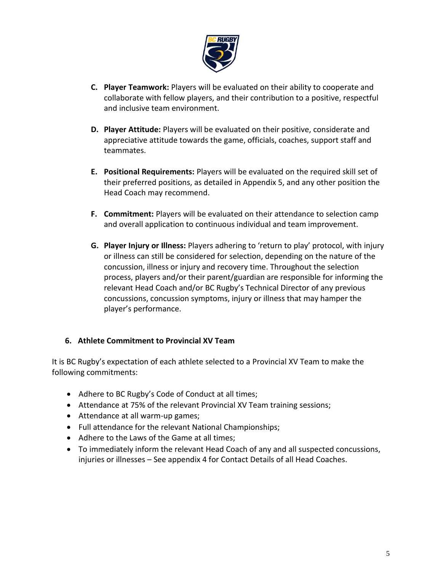

- **C. Player Teamwork:** Players will be evaluated on their ability to cooperate and collaborate with fellow players, and their contribution to a positive, respectful and inclusive team environment.
- **D. Player Attitude:** Players will be evaluated on their positive, considerate and appreciative attitude towards the game, officials, coaches, support staff and teammates.
- **E. Positional Requirements:** Players will be evaluated on the required skill set of their preferred positions, as detailed in Appendix 5, and any other position the Head Coach may recommend.
- **F. Commitment:** Players will be evaluated on their attendance to selection camp and overall application to continuous individual and team improvement.
- **G. Player Injury or Illness:** Players adhering to 'return to play' protocol, with injury or illness can still be considered for selection, depending on the nature of the concussion, illness or injury and recovery time. Throughout the selection process, players and/or their parent/guardian are responsible for informing the relevant Head Coach and/or BC Rugby's Technical Director of any previous concussions, concussion symptoms, injury or illness that may hamper the player's performance.

#### **6. Athlete Commitment to Provincial XV Team**

It is BC Rugby's expectation of each athlete selected to a Provincial XV Team to make the following commitments:

- Adhere to BC Rugby's Code of Conduct at all times;
- Attendance at 75% of the relevant Provincial XV Team training sessions;
- Attendance at all warm-up games;
- Full attendance for the relevant National Championships;
- Adhere to the Laws of the Game at all times;
- To immediately inform the relevant Head Coach of any and all suspected concussions, injuries or illnesses – See appendix 4 for Contact Details of all Head Coaches.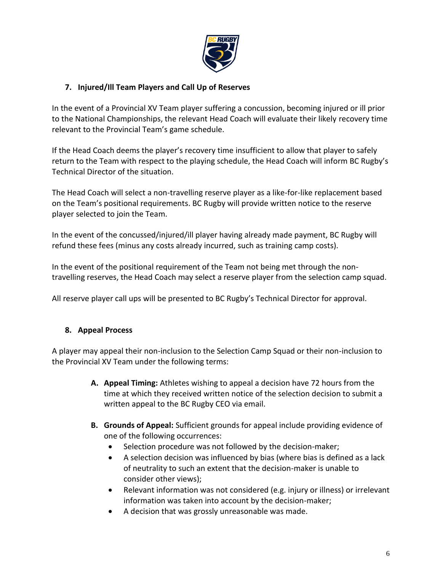

## **7. Injured/Ill Team Players and Call Up of Reserves**

In the event of a Provincial XV Team player suffering a concussion, becoming injured or ill prior to the National Championships, the relevant Head Coach will evaluate their likely recovery time relevant to the Provincial Team's game schedule.

If the Head Coach deems the player's recovery time insufficient to allow that player to safely return to the Team with respect to the playing schedule, the Head Coach will inform BC Rugby's Technical Director of the situation.

The Head Coach will select a non-travelling reserve player as a like-for-like replacement based on the Team's positional requirements. BC Rugby will provide written notice to the reserve player selected to join the Team.

In the event of the concussed/injured/ill player having already made payment, BC Rugby will refund these fees (minus any costs already incurred, such as training camp costs).

In the event of the positional requirement of the Team not being met through the nontravelling reserves, the Head Coach may select a reserve player from the selection camp squad.

All reserve player call ups will be presented to BC Rugby's Technical Director for approval.

#### **8. Appeal Process**

A player may appeal their non-inclusion to the Selection Camp Squad or their non-inclusion to the Provincial XV Team under the following terms:

- **A. Appeal Timing:** Athletes wishing to appeal a decision have 72 hours from the time at which they received written notice of the selection decision to submit a written appeal to the BC Rugby CEO via email.
- **B. Grounds of Appeal:** Sufficient grounds for appeal include providing evidence of one of the following occurrences:
	- Selection procedure was not followed by the decision-maker;
	- A selection decision was influenced by bias (where bias is defined as a lack of neutrality to such an extent that the decision-maker is unable to consider other views);
	- Relevant information was not considered (e.g. injury or illness) or irrelevant information was taken into account by the decision-maker;
	- A decision that was grossly unreasonable was made.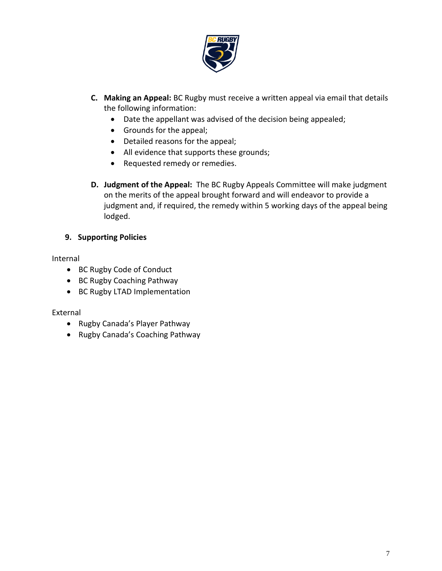

- **C. Making an Appeal:** BC Rugby must receive a written appeal via email that details the following information:
	- Date the appellant was advised of the decision being appealed;
	- Grounds for the appeal;
	- Detailed reasons for the appeal;
	- All evidence that supports these grounds;
	- Requested remedy or remedies.
- **D. Judgment of the Appeal:** The BC Rugby Appeals Committee will make judgment on the merits of the appeal brought forward and will endeavor to provide a judgment and, if required, the remedy within 5 working days of the appeal being lodged.

#### **9. Supporting Policies**

#### Internal

- BC Rugby Code of Conduct
- BC Rugby Coaching Pathway
- BC Rugby LTAD Implementation

#### External

- Rugby Canada's Player Pathway
- Rugby Canada's Coaching Pathway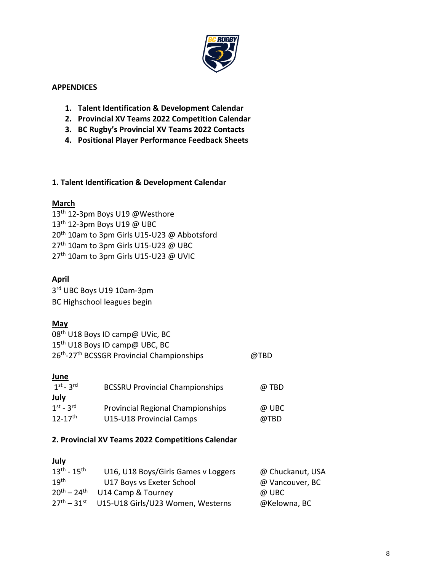

#### **APPENDICES**

- **1. Talent Identification & Development Calendar**
- **2. Provincial XV Teams 2022 Competition Calendar**
- **3. BC Rugby's Provincial XV Teams 2022 Contacts**
- **4. Positional Player Performance Feedback Sheets**

#### **1. Talent Identification & Development Calendar**

#### **March**

13<sup>th</sup> 12-3pm Boys U19 @Westhore 13th 12-3pm Boys U19 @ UBC 20<sup>th</sup> 10am to 3pm Girls U15-U23 @ Abbotsford 27<sup>th</sup> 10am to 3pm Girls U15-U23 @ UBC 27<sup>th</sup> 10am to 3pm Girls U15-U23 @ UVIC

## **April**

3 rd UBC Boys U19 10am-3pm BC Highschool leagues begin

#### **May**

| 08 <sup>th</sup> U18 Boys ID camp@ UVic, BC                        |      |
|--------------------------------------------------------------------|------|
| 15 <sup>th</sup> U18 Boys ID camp@ UBC, BC                         |      |
| 26 <sup>th</sup> -27 <sup>th</sup> BCSSGR Provincial Championships | @TBD |

#### **June**

| $1st - 3rd$             | <b>BCSSRU Provincial Championships</b> | @ TBD |
|-------------------------|----------------------------------------|-------|
| July                    |                                        |       |
| $1st - 3rd$             | Provincial Regional Championships      | @ UBC |
| $12 - 17$ <sup>th</sup> | U15-U18 Provincial Camps               | @TBD  |

#### **2. Provincial XV Teams 2022 Competitions Calendar**

| <b>July</b>         |                                     |                  |
|---------------------|-------------------------------------|------------------|
| $13^{th} - 15^{th}$ | U16, U18 Boys/Girls Games v Loggers | @ Chuckanut, USA |
| 19 <sup>th</sup>    | U17 Boys vs Exeter School           | @ Vancouver, BC  |
| $20^{th} - 24^{th}$ | U14 Camp & Tourney                  | @ UBC            |
| $27^{th} - 31^{st}$ | U15-U18 Girls/U23 Women, Westerns   | @Kelowna, BC     |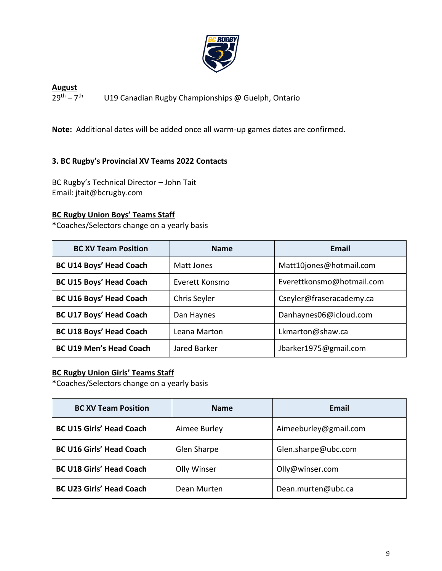

**August**  $29^{th} - 7^{th}$ U19 Canadian Rugby Championships @ Guelph, Ontario

**Note:** Additional dates will be added once all warm-up games dates are confirmed.

## **3. BC Rugby's Provincial XV Teams 2022 Contacts**

BC Rugby's Technical Director – John Tait Email: jtait@bcrugby.com

### **BC Rugby Union Boys' Teams Staff**

**\***Coaches/Selectors change on a yearly basis

| <b>BC XV Team Position</b>     | <b>Name</b>    | Email                     |
|--------------------------------|----------------|---------------------------|
| <b>BC U14 Boys' Head Coach</b> | Matt Jones     | Matt10jones@hotmail.com   |
| <b>BC U15 Boys' Head Coach</b> | Everett Konsmo | Everettkonsmo@hotmail.com |
| <b>BC U16 Boys' Head Coach</b> | Chris Seyler   | Cseyler@fraseracademy.ca  |
| <b>BC U17 Boys' Head Coach</b> | Dan Haynes     | Danhaynes06@icloud.com    |
| <b>BC U18 Boys' Head Coach</b> | Leana Marton   | Lkmarton@shaw.ca          |
| <b>BC U19 Men's Head Coach</b> | Jared Barker   | Jbarker1975@gmail.com     |

#### **BC Rugby Union Girls' Teams Staff**

**\***Coaches/Selectors change on a yearly basis

| <b>BC XV Team Position</b>      | <b>Name</b>  | Email                 |
|---------------------------------|--------------|-----------------------|
| <b>BC U15 Girls' Head Coach</b> | Aimee Burley | Aimeeburley@gmail.com |
| <b>BC U16 Girls' Head Coach</b> | Glen Sharpe  | Glen.sharpe@ubc.com   |
| <b>BC U18 Girls' Head Coach</b> | Olly Winser  | Olly@winser.com       |
| <b>BC U23 Girls' Head Coach</b> | Dean Murten  | Dean.murten@ubc.ca    |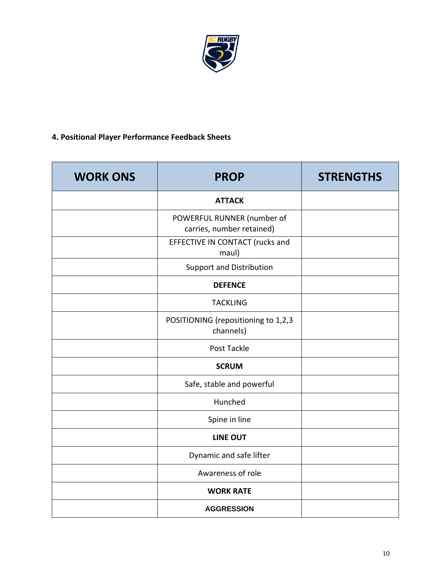

## **4. Positional Player Performance Feedback Sheets**

| <b>WORK ONS</b> | <b>PROP</b>                                             | <b>STRENGTHS</b> |
|-----------------|---------------------------------------------------------|------------------|
|                 | <b>ATTACK</b>                                           |                  |
|                 | POWERFUL RUNNER (number of<br>carries, number retained) |                  |
|                 | EFFECTIVE IN CONTACT (rucks and<br>maul)                |                  |
|                 | <b>Support and Distribution</b>                         |                  |
|                 | <b>DEFENCE</b>                                          |                  |
|                 | <b>TACKLING</b>                                         |                  |
|                 | POSITIONING (repositioning to 1,2,3<br>channels)        |                  |
|                 | Post Tackle                                             |                  |
|                 | <b>SCRUM</b>                                            |                  |
|                 | Safe, stable and powerful                               |                  |
|                 | Hunched                                                 |                  |
|                 | Spine in line                                           |                  |
|                 | <b>LINE OUT</b>                                         |                  |
|                 | Dynamic and safe lifter                                 |                  |
|                 | Awareness of role                                       |                  |
|                 | <b>WORK RATE</b>                                        |                  |
|                 | <b>AGGRESSION</b>                                       |                  |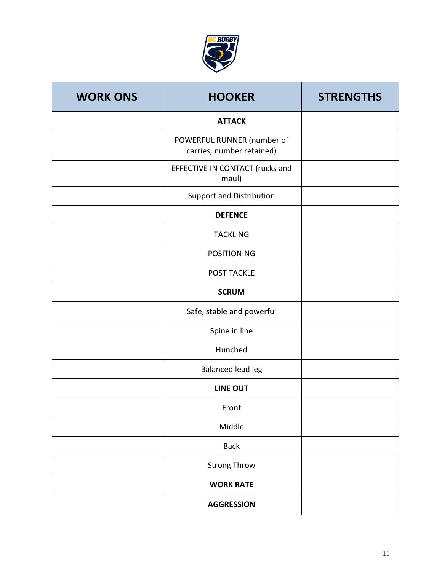

| <b>WORK ONS</b> | <b>HOOKER</b>                                           | <b>STRENGTHS</b> |
|-----------------|---------------------------------------------------------|------------------|
|                 | <b>ATTACK</b>                                           |                  |
|                 | POWERFUL RUNNER (number of<br>carries, number retained) |                  |
|                 | EFFECTIVE IN CONTACT (rucks and<br>maul)                |                  |
|                 | Support and Distribution                                |                  |
|                 | <b>DEFENCE</b>                                          |                  |
|                 | <b>TACKLING</b>                                         |                  |
|                 | <b>POSITIONING</b>                                      |                  |
|                 | <b>POST TACKLE</b>                                      |                  |
|                 | <b>SCRUM</b>                                            |                  |
|                 | Safe, stable and powerful                               |                  |
|                 | Spine in line                                           |                  |
|                 | Hunched                                                 |                  |
|                 | Balanced lead leg                                       |                  |
|                 | <b>LINE OUT</b>                                         |                  |
|                 | Front                                                   |                  |
|                 | Middle                                                  |                  |
|                 | <b>Back</b>                                             |                  |
|                 | <b>Strong Throw</b>                                     |                  |
|                 | <b>WORK RATE</b>                                        |                  |
|                 | <b>AGGRESSION</b>                                       |                  |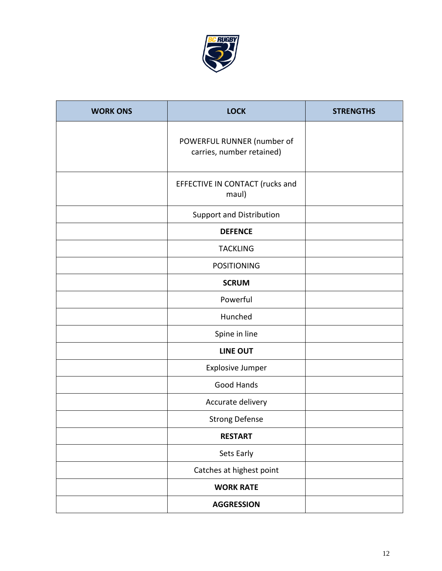

| <b>WORK ONS</b> | <b>LOCK</b>                                             | <b>STRENGTHS</b> |
|-----------------|---------------------------------------------------------|------------------|
|                 | POWERFUL RUNNER (number of<br>carries, number retained) |                  |
|                 | EFFECTIVE IN CONTACT (rucks and<br>maul)                |                  |
|                 | Support and Distribution                                |                  |
|                 | <b>DEFENCE</b>                                          |                  |
|                 | <b>TACKLING</b>                                         |                  |
|                 | <b>POSITIONING</b>                                      |                  |
|                 | <b>SCRUM</b>                                            |                  |
|                 | Powerful                                                |                  |
|                 | Hunched                                                 |                  |
|                 | Spine in line                                           |                  |
|                 | LINE OUT                                                |                  |
|                 | Explosive Jumper                                        |                  |
|                 | Good Hands                                              |                  |
|                 | Accurate delivery                                       |                  |
|                 | <b>Strong Defense</b>                                   |                  |
|                 | <b>RESTART</b>                                          |                  |
|                 | Sets Early                                              |                  |
|                 | Catches at highest point                                |                  |
|                 | <b>WORK RATE</b>                                        |                  |
|                 | <b>AGGRESSION</b>                                       |                  |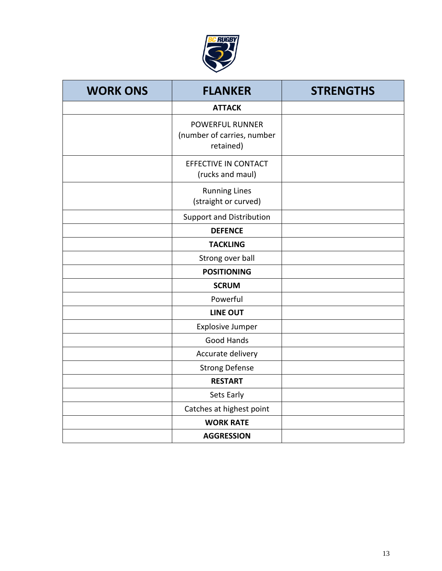

| <b>WORK ONS</b> | <b>FLANKER</b>                                                    | <b>STRENGTHS</b> |
|-----------------|-------------------------------------------------------------------|------------------|
|                 | <b>ATTACK</b>                                                     |                  |
|                 | <b>POWERFUL RUNNER</b><br>(number of carries, number<br>retained) |                  |
|                 | EFFECTIVE IN CONTACT<br>(rucks and maul)                          |                  |
|                 | <b>Running Lines</b><br>(straight or curved)                      |                  |
|                 | <b>Support and Distribution</b>                                   |                  |
|                 | <b>DEFENCE</b>                                                    |                  |
|                 | <b>TACKLING</b>                                                   |                  |
|                 | Strong over ball                                                  |                  |
|                 | <b>POSITIONING</b>                                                |                  |
|                 | <b>SCRUM</b>                                                      |                  |
|                 | Powerful                                                          |                  |
|                 | <b>LINE OUT</b>                                                   |                  |
|                 | <b>Explosive Jumper</b>                                           |                  |
|                 | Good Hands                                                        |                  |
|                 | Accurate delivery                                                 |                  |
|                 | <b>Strong Defense</b>                                             |                  |
|                 | <b>RESTART</b>                                                    |                  |
|                 | Sets Early                                                        |                  |
|                 | Catches at highest point                                          |                  |
|                 | <b>WORK RATE</b>                                                  |                  |
|                 | <b>AGGRESSION</b>                                                 |                  |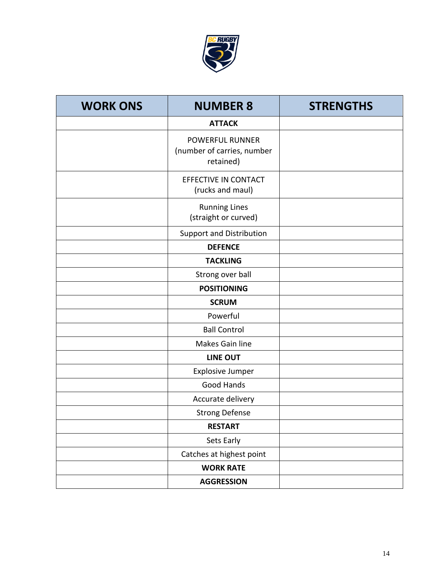

| <b>WORK ONS</b> | <b>NUMBER 8</b>                                                   | <b>STRENGTHS</b> |
|-----------------|-------------------------------------------------------------------|------------------|
|                 | <b>ATTACK</b>                                                     |                  |
|                 | <b>POWERFUL RUNNER</b><br>(number of carries, number<br>retained) |                  |
|                 | EFFECTIVE IN CONTACT<br>(rucks and maul)                          |                  |
|                 | <b>Running Lines</b><br>(straight or curved)                      |                  |
|                 | Support and Distribution                                          |                  |
|                 | <b>DEFENCE</b>                                                    |                  |
|                 | <b>TACKLING</b>                                                   |                  |
|                 | Strong over ball                                                  |                  |
|                 | <b>POSITIONING</b>                                                |                  |
|                 | <b>SCRUM</b>                                                      |                  |
|                 | Powerful                                                          |                  |
|                 | <b>Ball Control</b>                                               |                  |
|                 | Makes Gain line                                                   |                  |
|                 | <b>LINE OUT</b>                                                   |                  |
|                 | <b>Explosive Jumper</b>                                           |                  |
|                 | Good Hands                                                        |                  |
|                 | Accurate delivery                                                 |                  |
|                 | <b>Strong Defense</b>                                             |                  |
|                 | <b>RESTART</b>                                                    |                  |
|                 | Sets Early                                                        |                  |
|                 | Catches at highest point                                          |                  |
|                 | <b>WORK RATE</b>                                                  |                  |
|                 | <b>AGGRESSION</b>                                                 |                  |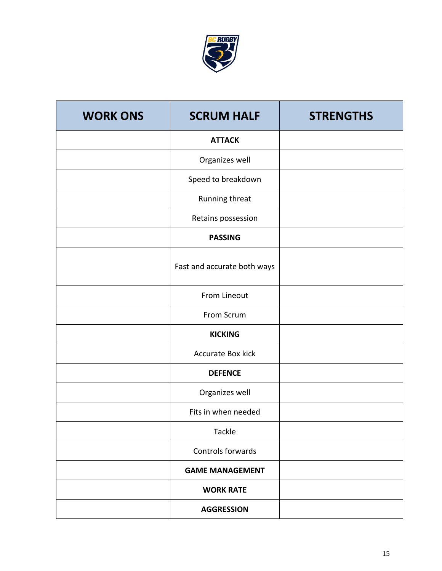

| <b>WORK ONS</b> | <b>SCRUM HALF</b>           | <b>STRENGTHS</b> |
|-----------------|-----------------------------|------------------|
|                 | <b>ATTACK</b>               |                  |
|                 | Organizes well              |                  |
|                 | Speed to breakdown          |                  |
|                 | Running threat              |                  |
|                 | Retains possession          |                  |
|                 | <b>PASSING</b>              |                  |
|                 | Fast and accurate both ways |                  |
|                 | From Lineout                |                  |
|                 | From Scrum                  |                  |
|                 | <b>KICKING</b>              |                  |
|                 | <b>Accurate Box kick</b>    |                  |
|                 | <b>DEFENCE</b>              |                  |
|                 | Organizes well              |                  |
|                 | Fits in when needed         |                  |
|                 | Tackle                      |                  |
|                 | Controls forwards           |                  |
|                 | <b>GAME MANAGEMENT</b>      |                  |
|                 | <b>WORK RATE</b>            |                  |
|                 | <b>AGGRESSION</b>           |                  |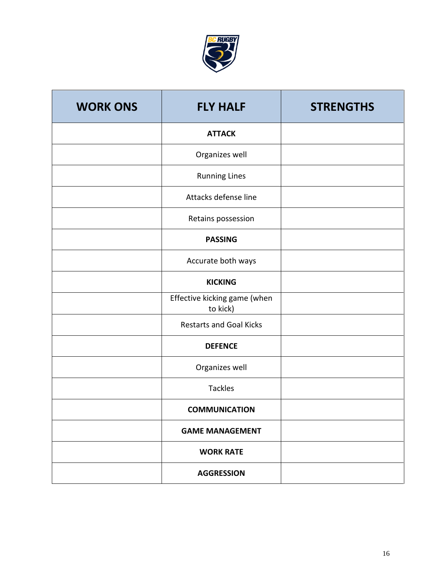

| <b>WORK ONS</b> | <b>FLY HALF</b>                          | <b>STRENGTHS</b> |
|-----------------|------------------------------------------|------------------|
|                 | <b>ATTACK</b>                            |                  |
|                 | Organizes well                           |                  |
|                 | <b>Running Lines</b>                     |                  |
|                 | Attacks defense line                     |                  |
|                 | Retains possession                       |                  |
|                 | <b>PASSING</b>                           |                  |
|                 | Accurate both ways                       |                  |
|                 | <b>KICKING</b>                           |                  |
|                 | Effective kicking game (when<br>to kick) |                  |
|                 | <b>Restarts and Goal Kicks</b>           |                  |
|                 | <b>DEFENCE</b>                           |                  |
|                 | Organizes well                           |                  |
|                 | <b>Tackles</b>                           |                  |
|                 | <b>COMMUNICATION</b>                     |                  |
|                 | <b>GAME MANAGEMENT</b>                   |                  |
|                 | <b>WORK RATE</b>                         |                  |
|                 | <b>AGGRESSION</b>                        |                  |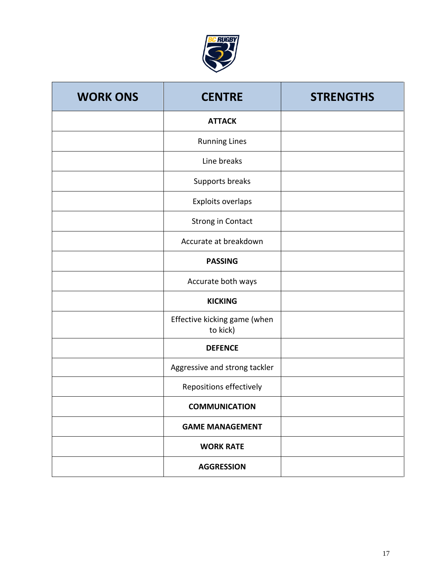

| <b>WORK ONS</b> | <b>CENTRE</b>                            | <b>STRENGTHS</b> |
|-----------------|------------------------------------------|------------------|
|                 | <b>ATTACK</b>                            |                  |
|                 | <b>Running Lines</b>                     |                  |
|                 | Line breaks                              |                  |
|                 | Supports breaks                          |                  |
|                 | Exploits overlaps                        |                  |
|                 | <b>Strong in Contact</b>                 |                  |
|                 | Accurate at breakdown                    |                  |
|                 | <b>PASSING</b>                           |                  |
|                 | Accurate both ways                       |                  |
|                 | <b>KICKING</b>                           |                  |
|                 | Effective kicking game (when<br>to kick) |                  |
|                 | <b>DEFENCE</b>                           |                  |
|                 | Aggressive and strong tackler            |                  |
|                 | Repositions effectively                  |                  |
|                 | <b>COMMUNICATION</b>                     |                  |
|                 | <b>GAME MANAGEMENT</b>                   |                  |
|                 | <b>WORK RATE</b>                         |                  |
|                 | <b>AGGRESSION</b>                        |                  |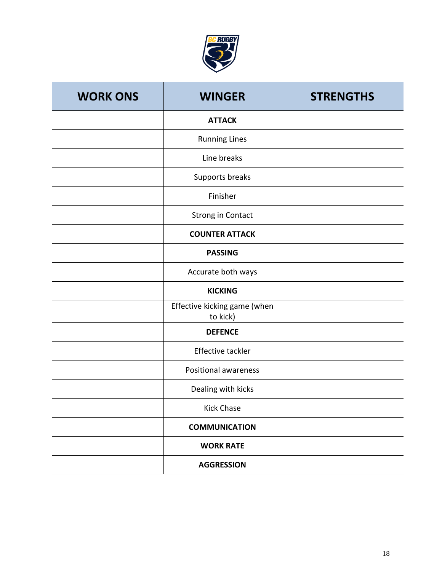

| <b>WORK ONS</b> | <b>WINGER</b>                            | <b>STRENGTHS</b> |
|-----------------|------------------------------------------|------------------|
|                 | <b>ATTACK</b>                            |                  |
|                 | <b>Running Lines</b>                     |                  |
|                 | Line breaks                              |                  |
|                 | Supports breaks                          |                  |
|                 | Finisher                                 |                  |
|                 | <b>Strong in Contact</b>                 |                  |
|                 | <b>COUNTER ATTACK</b>                    |                  |
|                 | <b>PASSING</b>                           |                  |
|                 | Accurate both ways                       |                  |
|                 | <b>KICKING</b>                           |                  |
|                 | Effective kicking game (when<br>to kick) |                  |
|                 | <b>DEFENCE</b>                           |                  |
|                 | <b>Effective tackler</b>                 |                  |
|                 | <b>Positional awareness</b>              |                  |
|                 | Dealing with kicks                       |                  |
|                 | <b>Kick Chase</b>                        |                  |
|                 | <b>COMMUNICATION</b>                     |                  |
|                 | <b>WORK RATE</b>                         |                  |
|                 | <b>AGGRESSION</b>                        |                  |